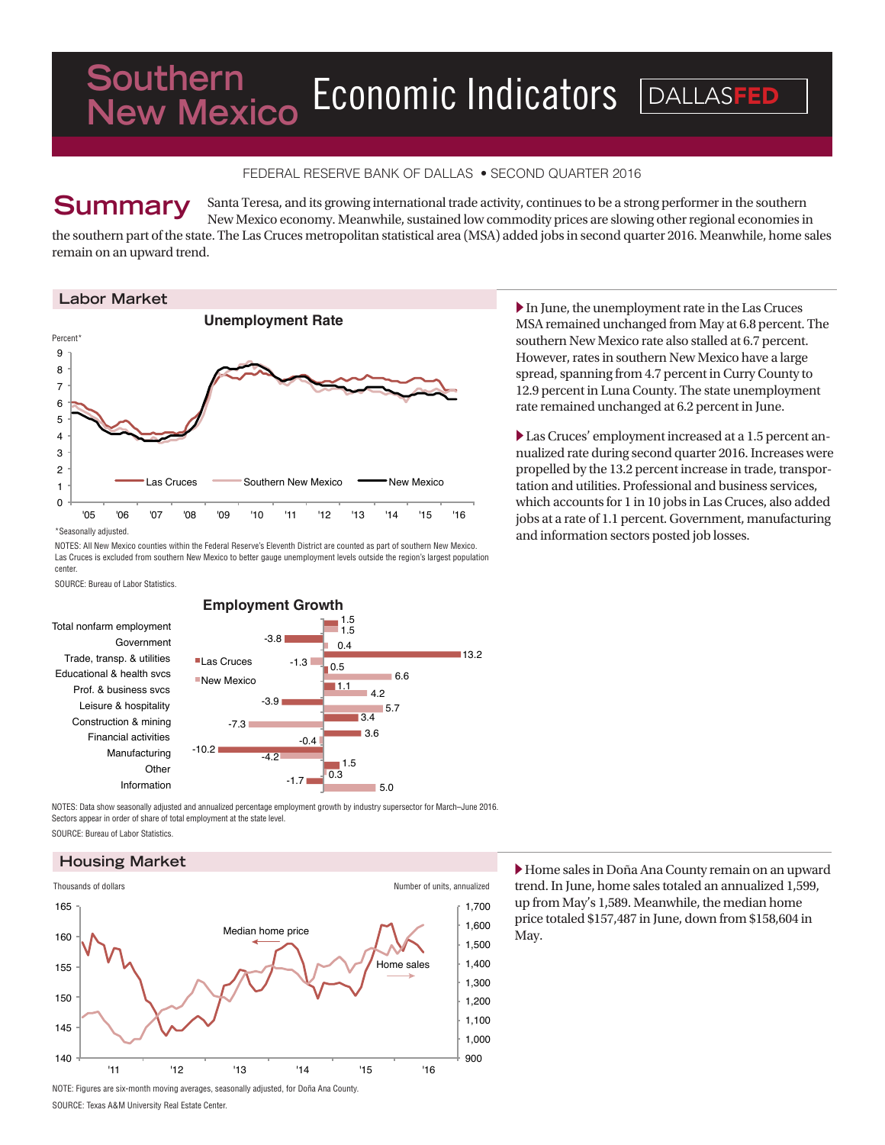# Economic Indicators **DALLASFED New Mexico**

## FEDERAL RESERVE BANK OF DALLAS • SECOND QUARTER 2016

# **Summary**

Santa Teresa, and its growing international trade activity, continues to be a strong performer in the southern New Mexico economy. Meanwhile, sustained low commodity prices are slowing other regional economies in the southern part of the state. The Las Cruces metropolitan statistical area (MSA) added jobs in second quarter 2016. Meanwhile, home sales

remain on an upward trend.

#### **Labor Market**



\*Seasonally adjusted.

NOTES: All New Mexico counties within the Federal Reserve's Eleventh District are counted as part of southern New Mexico. Las Cruces is excluded from southern New Mexico to better gauge unemployment levels outside the region's largest population center.

SOURCE: Bureau of Labor Statistics.

Total nonfarm employment Government Trade, transp. & utilities Educational & health svcs Prof. & business svcs Leisure & hospitality Construction & mining Financial activities Manufacturing **Other** Information



NOTES: Data show seasonally adjusted and annualized percentage employment growth by industry supersector for March–June 2016. Sectors appear in order of share of total employment at the state level. SOURCE: Bureau of Labor Statistics.

#### **Housing Market**



 $\blacktriangleright$  In June, the unemployment rate in the Las Cruces MSA remained unchanged from May at 6.8 percent. The southern New Mexico rate also stalled at 6.7 percent. However, rates in southern New Mexico have a large spread, spanning from 4.7 percent in Curry County to 12.9 percent in Luna County. The state unemployment rate remained unchanged at 6.2 percent in June.

Las Cruces' employment increased at a 1.5 percent annualized rate during second quarter 2016. Increases were propelled by the 13.2 percent increase in trade, transportation and utilities. Professional and business services, which accounts for 1 in 10 jobs in Las Cruces, also added jobs at a rate of 1.1 percent. Government, manufacturing and information sectors posted job losses.

X Home sales in Doña Ana County remain on an upward trend. In June, home sales totaled an annualized 1,599, up from May's 1,589. Meanwhile, the median home price totaled \$157,487 in June, down from \$158,604 in May.

SOURCE: Texas A&M University Real Estate Center.